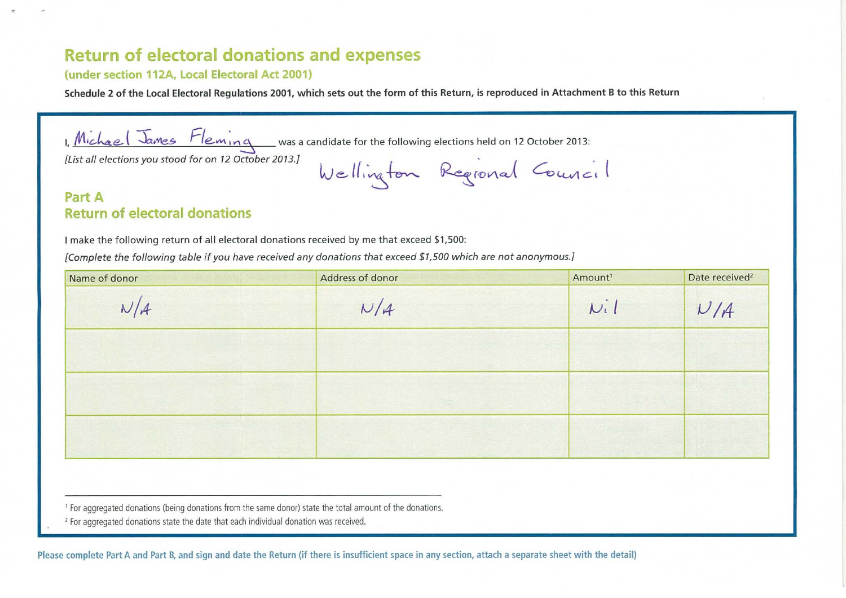## **Return of electoral donations and expenses**

## (under section 112A, Local Electoral Act 2001)

**Schedule 2 of the Local Electoral Regulations 2001, which sets out the form of this Return, is reproduced in Attachment B to this Return** 

1, Michael James Fleming was a candidate for the following elections held on 12 October 2013:

Wellington Regional Council

*[List all elections you stood for on 12 October 2013.]* 

## **Part A Return of electoral donations**

**<sup>I</sup>**make the following return of all electoral donations received by me that exceed \$1,500:

[Complete *the following table if you have received any donations that exceed \$1,500 which are not anonymous.]* 

| Name of donor | Address of donor | Amount <sup>1</sup> | Date received <sup>2</sup> |
|---------------|------------------|---------------------|----------------------------|
| N/A           | N/4              | Ni                  | V/A                        |
|               |                  |                     |                            |
|               |                  |                     |                            |
|               |                  |                     |                            |

'For aggregated donations (being donations from the same donor) state the total amount of the donations.

<sup>2</sup> For aggregated donations state the date that each individual donation was received.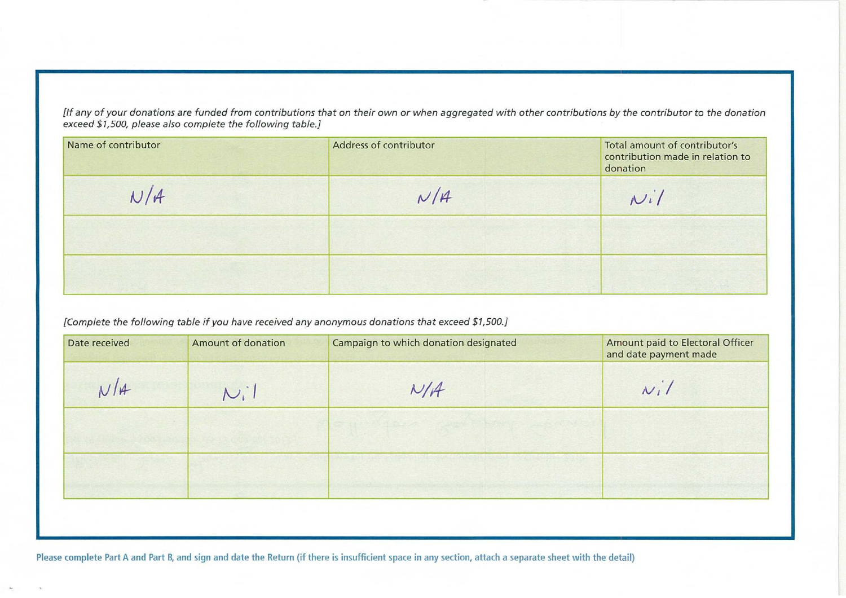*[If any of your donations are funded from contributions that on their own or when aggregated with other contributions by the contributor to the donation exceed \$1,500, please also complete the following table.]* 

| Name of contributor | Address of contributor | Total amount of contributor's<br>contribution made in relation to<br>donation |
|---------------------|------------------------|-------------------------------------------------------------------------------|
| N/A                 | N/A                    | $N_{i}$                                                                       |
|                     |                        |                                                                               |
|                     |                        |                                                                               |

*[Complete the following table if you have received any anonymous donations that exceed \$1,500.]* 

| Date received | <b>Amount of donation</b> | Campaign to which donation designated | Amount paid to Electoral Officer<br>and date payment made |
|---------------|---------------------------|---------------------------------------|-----------------------------------------------------------|
| N/H           | $N_i$                     | N/A                                   | $N_i/$                                                    |
|               |                           |                                       |                                                           |
|               |                           |                                       |                                                           |

Please complete Part A and Part B, and sign and date the Return (if there is insufficient space in any section, attach a separate sheet with the detail)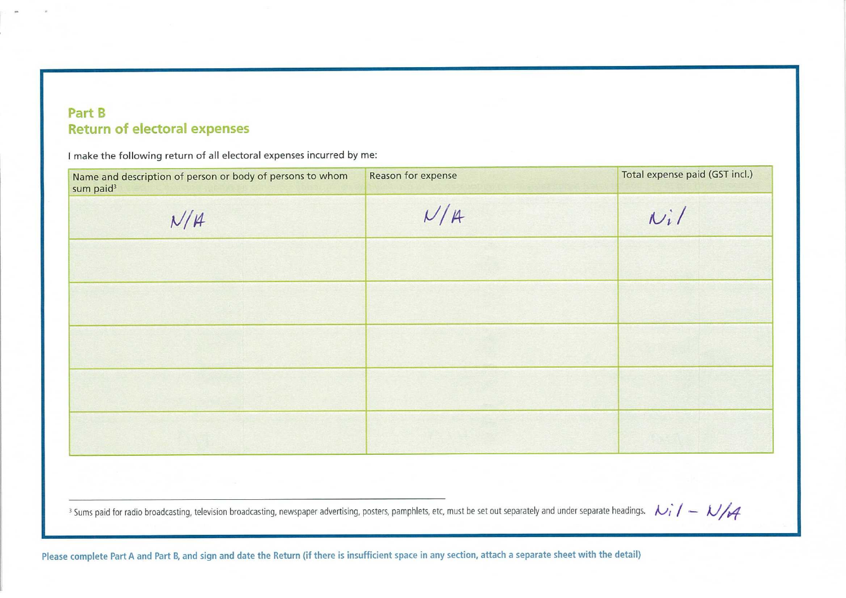## Part B **Return of electoral expenses**

I make the following return of all electoral expenses incurred by me:

| Name and description of person or body of persons to whom<br>sum paid <sup>3</sup> | Reason for expense | Total expense paid (GST incl.) |
|------------------------------------------------------------------------------------|--------------------|--------------------------------|
| N/A                                                                                | N/A                | $N_i/$                         |
|                                                                                    |                    |                                |
|                                                                                    |                    |                                |
|                                                                                    |                    |                                |
|                                                                                    |                    |                                |
|                                                                                    |                    |                                |

 $\frac{1}{3}$  Sums paid for radio broadcasting, television broadcasting, newspaper advertising, posters, pamphlets, etc, must be set out separately and under separate headings.  $k_i/1-\sqrt{4}$ 

Please complete Part A and Part B, and sign and date the Return (if there is insufficient space in any section, attach a separate sheet with the detail)